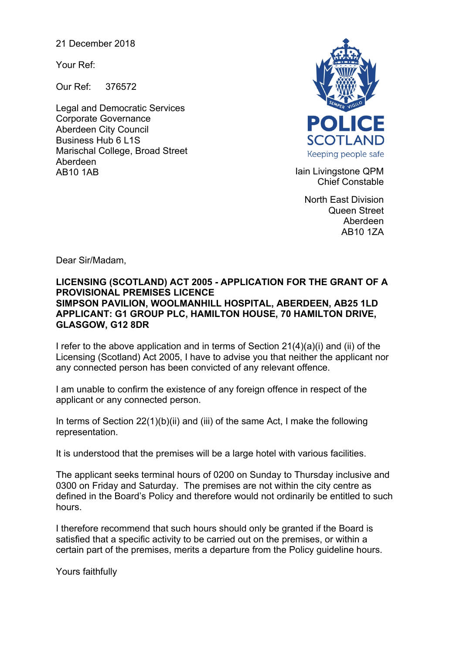21 December 2018

Your Ref:

Our Ref: 376572

Legal and Democratic Services Corporate Governance Aberdeen City Council Business Hub 6 L1S Marischal College, Broad Street Aberdeen AB10 1AB **Iain Livingstone QPM** 



Chief Constable

North East Division Queen Street Aberdeen AB10 1ZA

Dear Sir/Madam,

## **LICENSING (SCOTLAND) ACT 2005 - APPLICATION FOR THE GRANT OF A PROVISIONAL PREMISES LICENCE SIMPSON PAVILION, WOOLMANHILL HOSPITAL, ABERDEEN, AB25 1LD APPLICANT: G1 GROUP PLC, HAMILTON HOUSE, 70 HAMILTON DRIVE, GLASGOW, G12 8DR**

I refer to the above application and in terms of Section 21(4)(a)(i) and (ii) of the Licensing (Scotland) Act 2005, I have to advise you that neither the applicant nor any connected person has been convicted of any relevant offence.

I am unable to confirm the existence of any foreign offence in respect of the applicant or any connected person.

In terms of Section 22(1)(b)(ii) and (iii) of the same Act, I make the following representation.

It is understood that the premises will be a large hotel with various facilities.

The applicant seeks terminal hours of 0200 on Sunday to Thursday inclusive and 0300 on Friday and Saturday. The premises are not within the city centre as defined in the Board's Policy and therefore would not ordinarily be entitled to such hours.

I therefore recommend that such hours should only be granted if the Board is satisfied that a specific activity to be carried out on the premises, or within a certain part of the premises, merits a departure from the Policy guideline hours.

Yours faithfully